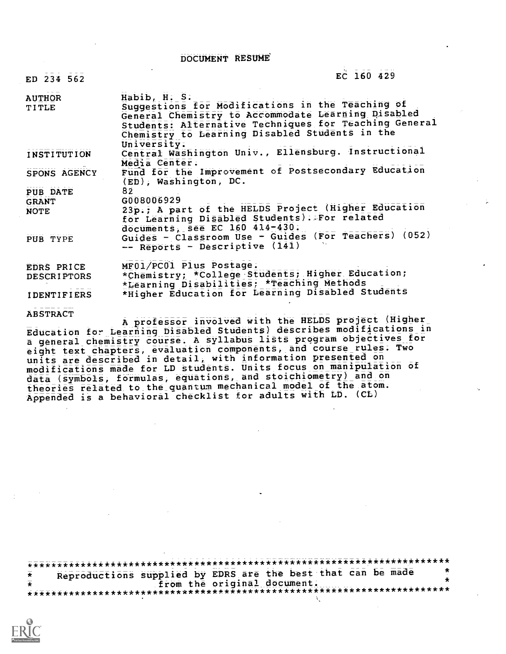DOCUMENT RESUME

| ED 234 562                                  | EC 160 429                                                                                                                                                                                                                                       |
|---------------------------------------------|--------------------------------------------------------------------------------------------------------------------------------------------------------------------------------------------------------------------------------------------------|
| <b>AUTHOR</b><br>TITLE                      | Habib, H. S.<br>Suggestions for Modifications in the Teaching of<br>General Chemistry to Accommodate Learning Disabled<br>Students: Alternative Techniques for Teaching General<br>Chemistry to Learning Disabled Students in the<br>University: |
| <b>INSTITUTION</b>                          | Central Washington Univ., Ellensburg. Instructional<br>Media Center.                                                                                                                                                                             |
| SPONS AGENCY                                | Fund for the Improvement of Postsecondary Education<br>(ED), Washington, DC.                                                                                                                                                                     |
| PUB DATE<br><b>GRANT</b><br>NOTE            | 82<br>G008006929<br>23p.; A part of the HELDS Project (Higher Education<br>for Learning Disabled Students). For related<br>documents, see EC 160 414-430.                                                                                        |
| PUB TYPE                                    | Guides - Classroom Use - Guides (For Teachers) (052)<br>-- Reports - Descriptive (141)                                                                                                                                                           |
| EDRS PRICE<br><b>DESCRIPTORS</b>            | MF01/PC01 Plus Postage.<br>*Chemistry; *College Students; Higher Education;<br>*Learning Disabilities; *Teaching Methods                                                                                                                         |
| <b>IDENTIFIERS</b>                          | *Higher Education for bearning Disabled Students                                                                                                                                                                                                 |
| <b>ABSTRACT</b><br>the property of the con- | A professor involved with the HELDS project (Higher<br>eltteita alugeela) gaaanikan madifinstinne in                                                                                                                                             |

Education for Learning Disabled Students) describes modification a general chemistry course. A syllabus lists program objectives for eight text chapters, evaluation components, and course rules. Two units are described in detail, with information presented on modifications made for LD students. Units focus on manipulation of data (symbols, formulas, equations, and stoichiometry) and on theories related to the quantum mechanical model of the atom. Appended is a behavioral checklist for adults with LD. (CL)

\*\*\*\*\*\*\*\*\*\*\*\*\*\*\*\*\*\*\*\*\*\*\*\*\*\*\*\*\*\*\*\*\*\*\*\*\*\*\*\*\*\*\*\*\*\*\*\*\*\*\*\*\*\*\*\*\*\*\*\*\*\*\*\*\*\*\*\*\*\*\* Reproductions supplied by EDRS are the best that can be made from the original document. \*\*\*\*\*\*\*\*\*\*\*\*\*\*\*\*\*\*\*\*\*\*\*\*\*\*\*\*\*\*\*\*\*\*\*\*\*\*\*\*\*\*\*\*\*\*\*\*\*\*\*\*\*\*\*\*\*\*\*\*\*\*\*\*\*\*\*\*\*\*\*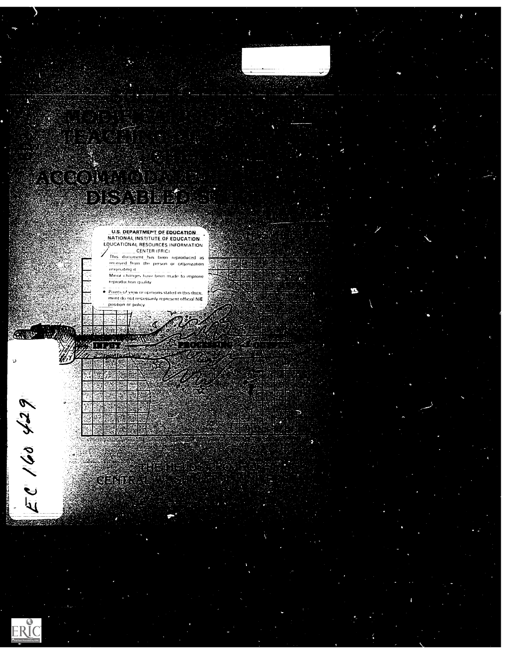

ERIC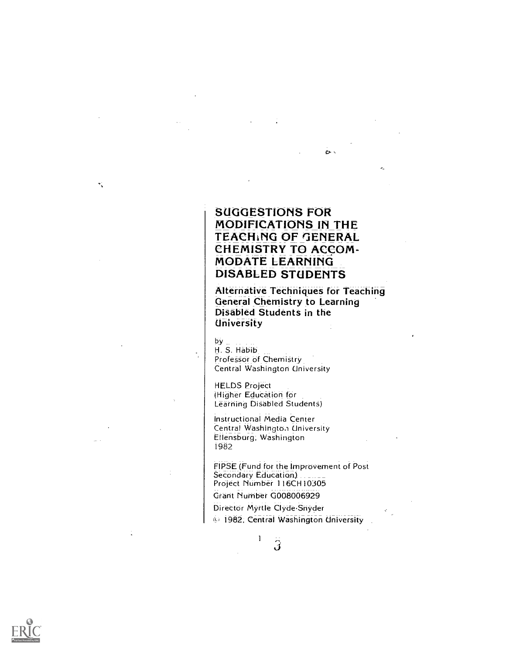## SUGGESTIONS FOR MODIFICATIONS IN THE TEACHING OF GENERAL CHEMISTRY TO ACCOM-MODATE LEARNING DISABLED STUDENTS

Alternative Techniques for Teaching General Chemistry to Learning Disabled Students in the University

 $\alpha$ 

#### $by<sub>-</sub>$

 $\ddot{\phantom{0}}$ 

 $\boldsymbol{\tau}_{\mathrm{v}}^{\mathrm{c}}$ 

H. S. Habib Professor of Chemistry Central Washington University

HELDS Project (Higher Education for Learning Disabled Students)

Instructional Media Center Central Washington University Ellensburg; Washington 1982

FIPSE (Fund for the Improvement of Post Secondary Education) Project Number 116CH10305

Grant Number G008006929

Director Myrtle Clyde Snyder 1982, Central Washington University

> $\mathbf{1}$ ڗ

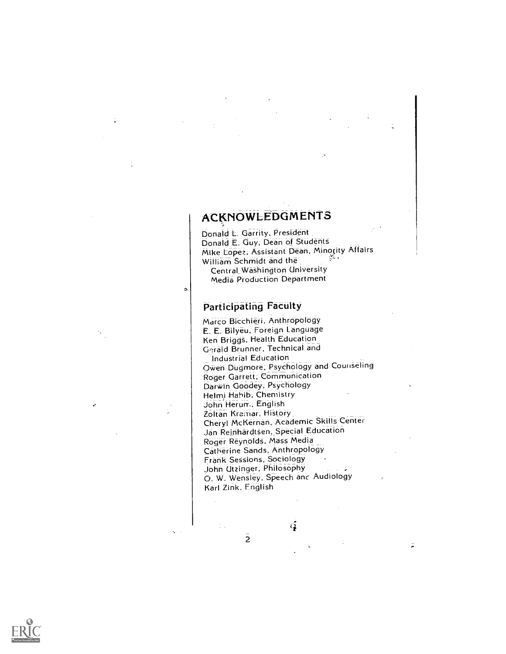# ACKNOWLEDGMENTS

Donald L. Garrity, President Donald E. Guy; Dean of Students Mike Lopez, Assistant Dean, Minority Affairs William Schmidt and the Central\_Washington University

Media Production Department

### Participating Faculty

ö

Marco Bicchieri, Anthropology E. E. Bilyeu, Foreign Language Ken Briggs, Health Education Gerald Brunner, Technical and Industrial Education Owen Dugmore; Psychology and Counseling Roger Garrett, Communication Darwin Goodey, Psychology Helm) Habib, Chemistry John Herum, English Zoltan Kremar, History Cheryl McKernan, Academic Skills Center Jan Reinhardtsen Special Education Roger Reynolds, Mass Media Catherine Sands, Anthropology Frank Sessions, Sociology John Utzinger, Philosophy O. W. Wensley, Speech and Audiology Karl Zink, English

 $\bar{z}$ 

 $\overline{2}$ 

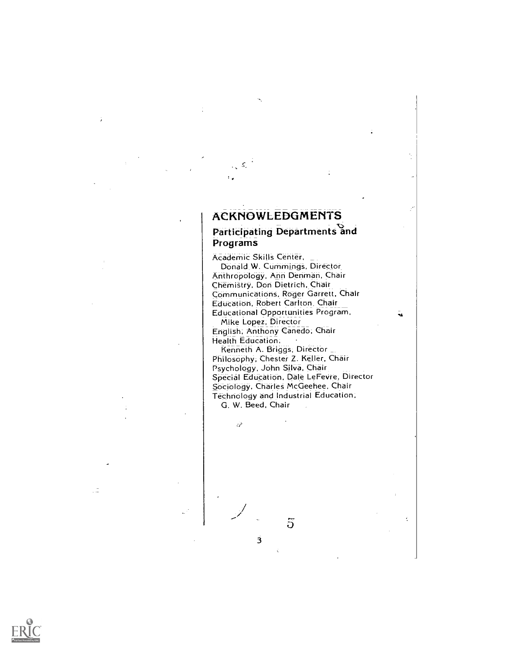## ACKNOWLEDGMENTS

5

## Participating Departments and Programs

Academic Skills Center, Donald W. Cummings, Director Anthropology, Ann Denman, Chair Chemistry, Don Dietrich, Chair Communications, Roger Garrett, Chair Education, Robert Carlton, Chair Educational Opportunities Program,

ું

ċ

Mike Lopez, Director English, Anthony Canedo; Chair Health Education,

Kenneth A. Briggs, Director Philosophy, Chester Z. Keller, Chair Psychology, John Silva, Chair Special Education, Dale LeFeVre, Director Sociology, Charles McGeehee, Chair Technology and Industrial Education, G. W. Beed, Chair

 $\overline{5}$ 

3

 $\hat{\mathcal{C}}$ 

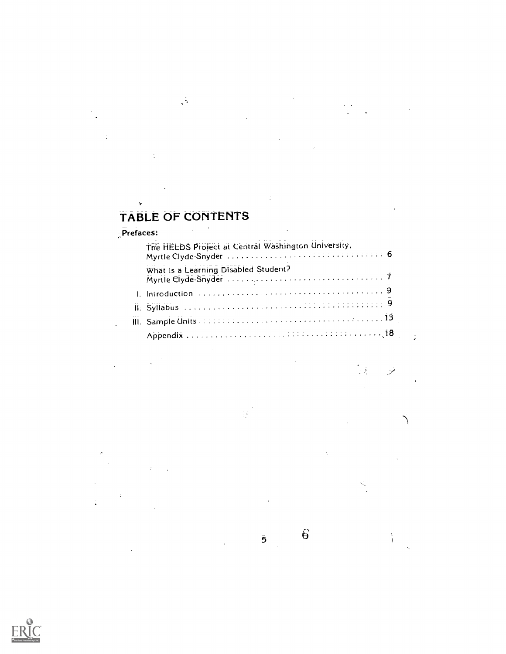## TABLE OF CONTENTS

 $\zeta\widetilde{\gamma}$ 

÷,

 $\mathbf{r}$ 

| The HELDS Project at Central Washington University, |  |  |  |  |
|-----------------------------------------------------|--|--|--|--|
| What is a Learning Disabled Student?                |  |  |  |  |
|                                                     |  |  |  |  |
|                                                     |  |  |  |  |
|                                                     |  |  |  |  |
|                                                     |  |  |  |  |

 $\mathcal{G}^{\mathcal{G}}$ 

 $\bar{5}$ 

 $\frac{1}{\epsilon}$ 

 $\bar{\hat{\theta}}$ 

 $\mathbb{I}$ 

 $\frac{1}{2}$ 

 $\frac{1}{4}$ 

 $\bar{\mathcal{E}}_i$ 

 $\sim 10$ 

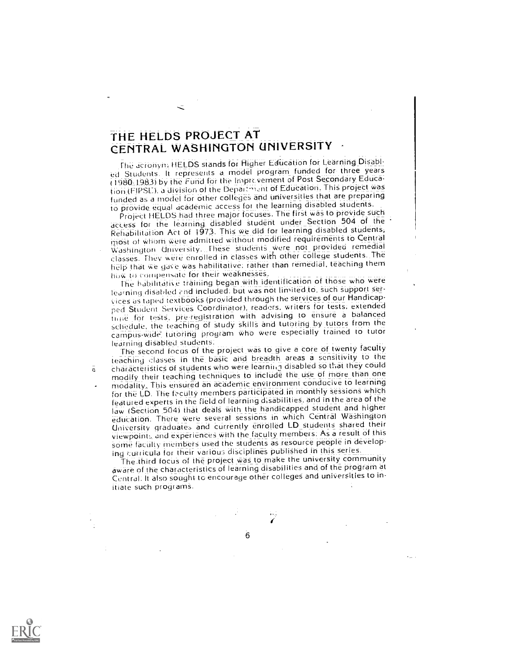# THE HELDS PROJECT AT CENTRAL WASHINGTON UNIVERSITY

The acronym HELDS stands for Higher Education for Learning Disabled Students. It represents a model program funded for three years 1980i1983) by the Fund for the Imprcvement of Post Sesondary Education (FIPSE). a division of the Depai: nunt of Education. This project was funded as a model for other colleges and universities that are preparing to provide equal academic access for the learning disabled students.

Project HELDS had three major focuses. The first was to provide such access for the learning\_ disabled student under Section 504 of the Rehabilitation Act of 1973. This we did for learning disabled studentsi most of whom were admitted without modified requirements to Central Washington University. These students were not provided remedial classes. They were enrolled in classes with other college students. The help that we gave was habilitative; rather than remedial, teaching them flow to corlipensate for their weaknesses.

The habilitative training began with identification of those who were learning disahled and included: but was not limited to, such support services as taped textbooks (provided through the services of our Handicapped Student Services Coordinator), readers, writers for tests, extended nine for tests, preregistration with advising to ensure a balanced cliedule, the teaching of study skills and tutoring by tutors from the campus-wide tutoring program who were especially trained to tutor<br>learning disabled students:

The second focus of the project was to give a core of twenty faculty teaching classes in the basic and breadth areas a sensitivity to the characteristics of students who were learning disabled so that they could modify their teaching techniques to include the use of more than one modality\_ This ensured an academic environment conducive to learning for the LD. The faculty members participated in monthly sessions which featured experts in the field of learning disabilities, and in the area of the law (Section 504) that deals with the handicapped student and higher education. There were several sessions in which Central Washington University graduates and currently enrolled LD students shared their viewpoint:, and experiences with the faculty members: As a result of this some faciilty members used the students as resource people in developing curricula for their various disciplines published in this series.

The third focus of the project was to make the university community aware of the characteristics of learning disabilities and of the program at Central. It also sought to encourage other colleges and universities to initiate such programs.

 $\bar{a}$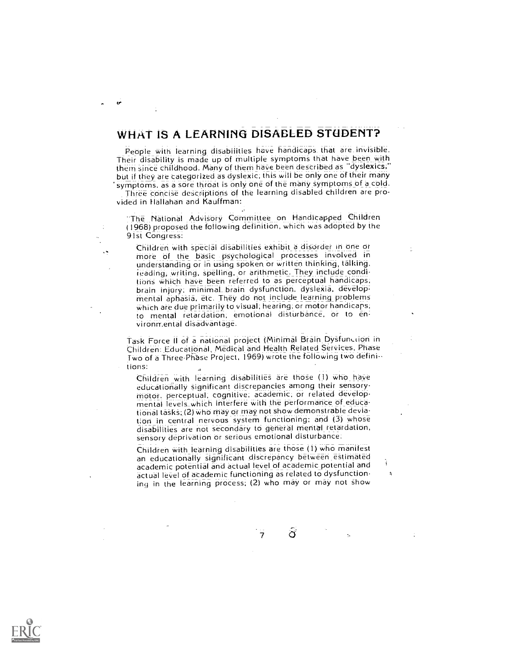## WHAT IS A LEARNING DISABLED STUDENT?

People with learning disabilities have handicaps that are invisible. Their disability is made up of multiple symptoms that have been with them since childhood. Many of them have been described as "dyslexics," but if they are categorized as dyslexic; this will be only one of their many symptoms, as a sore throat is only one of the many symptoms of a cold.

Three concise descriptions of the learning disabled children are provided in Hallahan and Kauffman:

The National Advisory Committee on Handicapped Children (1968) proposed the following definition, which was adopted by the 91st Congress:

Children with special disabilities exhibit\_ a disorder in one or more of the basic psychological processes involved in understanding or in using spoken or written thinking, talking, reading, writing, spelling, or arithmetic. They include conditions which have been referred to as perceptual handicaps;<br>brain injury; minimal brain dysfunction, dyslexia, developmental aphasia, etc. They do not include learning problems Which are due primarily to visual, hearing; or motor handicaps; to mental retardation; emotional disturbance, or to en: vironrr.ental disadvantage.

Task Force II of a national project (Minimal Brain Dysfunction in<br>Children: Educational, Medical and Health Related Services, Phase Two of a Three-Phase Project, 1969) wrote the following two definitions:

Children with learning disabilities are those (1) who have educationally significant discrepancies among their sensorymotor, perceptual, cognitive; academic, or related developmental levels\_which interfere with the performance of educational tasks; (2) who may or may not show demonstrable deviation in central nervous system functioning; and (3) whose disabilities are not secondary to general mental retardation, sensory deprivation or serious emotional disturbance:

Children with learning disabilities are those (1) who manifest an educationally significant discrepancy between estimated academic potential and actual level of academic potential and actual level of academic functioning as related to dysfunctioning in the learning process; (2) who may or may not show

 $\sigma$ 

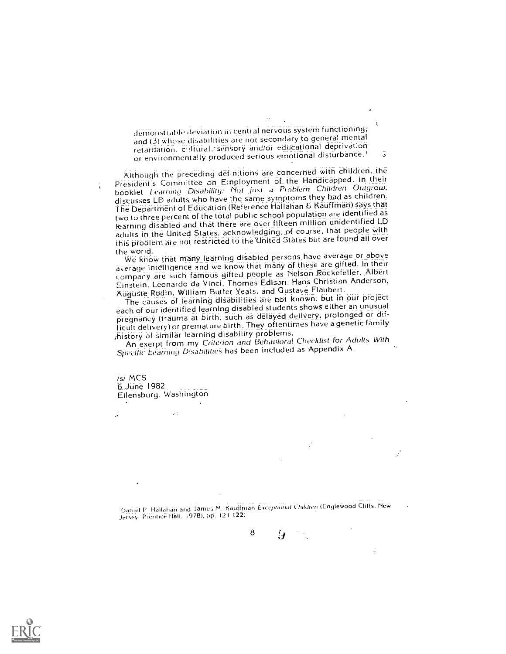demonstrable deviation in central nervous system functioning; and (3) whose disabilities are not secondary to general mental retardation. cultural, sensory and/or educational deprivation or environmentally produced serious emotional disturbance.'

Although the preceding definitions are concerned with children, the President's Committee on E:nployment of the Handicapped. in their booklet Learning Disability: Not Just a Problem Children Outgrow; discusses LD adults who have the same symptoms they had as children. The Department of Education (Reference Hallahan & Kauffman) says that two to three percent of the total public school population are identified as learning disabled and that there are over fifteen million unidentified LD adults in the United States, acknowledging, of course, that people with this problem are not restricted to the United States but are found all over<br>the world:

the world: We know that many learning disabled pei-scns have average or above average intelligence and we know that many of these are gifted. In their company are such famous gifted people as Nelson Rockefeller, Albert Einstein, Leonardo da Vinci, Thomas Edisan; Hans Christian Anderson, Auguste Rodin, William Butter Yeats, and Gustave Flaubert.

The causes of learning disabilities are not known; but in our project each of our identified learning disabled students shows eitheran unusual pregnancy (trauma at birth; such as delayed delivery, prolonged or difficult delivery) or premature birth. They oftentimes have a genetic family ;history of similar learning disability problems,

An exerpt from my Criterion and Behavioral Checklist for Adults With Specific Ecarning Disabilities has been included as Appendix A.

 $/s/$  MCS 6 June 1982 Ellensburg. Washington

Uanirl P fiallahan arid Jame:, M Kauffman Except/nod/ Cturthri (Englewood Cliffs, New Jersey Prentice Hall. 19781. pp. 121 122:

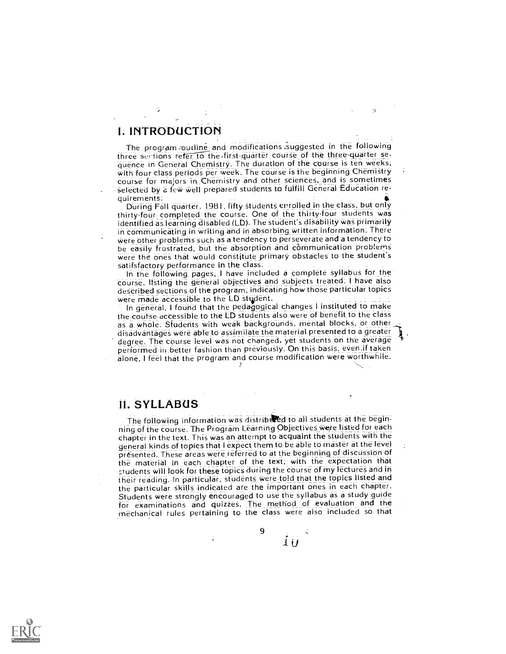### L INTRODUCTION

The program outline and modifications suggested in the following three sections refer to the first-quarter course of the three-quarter sequence in General Chemistry. The duration of the course is ten weeks; with four class periods per week. The course is the beginning Chemistry course for majors in Chemistry and other sciences, and is sometimes selected by a few well prepared students to fulfill General Education re-

quirements: During Fall quarter, 1981, fifty studentS enrolled in the class, but only thirty four completed the course. One of the thirty four students was identified as learning disabled (LD). The student's disability was primarily in communicating in writing and in absorbing written information: There Were other problems such as a tendency to perseverate and a tendency to be easily frustrated, but the absorption and communication problems were the ones that would constitute primary obstacles to the student's satifsfactory performance in the class:

In the following pages; I have included a complete syllabus for the course, listing the general Objectives and subjects treated: I have also described sections of the program; indicating how those particular topics were made accessible to the LD student.

In general, I found that the pedagogical changes I instituted to make the-course accessible to the LD students also were of benefit to the class as a whole. Students with weak backgrounds, mental blocks, or other; disadvantages were able to assimilate the material presented to a greater degree. The course level was not changed, yet students on the average performed in better fashion than previously. On this basis, even.if taken alone, I feel that the program and course modification were worthwhile;

### 11. SYLLABUS

The following information was distributed to all students at the beginning of the course. The Program Learning Objectives were listed for each chapter in the text. This was an attempt to acquaint the students with the general kinds of topics that I expect them to be able to master at the level<br>presented. These areas were referred to at the beginning of discussion of the material in each chapter of the text, with the expectation that students will look for these topics during the course of my lecture§ and in their reading. In particular, students were told that the topics listed and the particular skills indicated are the important ones in each chapter. Students were strongly encouraged to use the syllabus as a study guide for examinations and quizzes. The method of evaluation and the mechanical rules pertaining to the class were also included so that

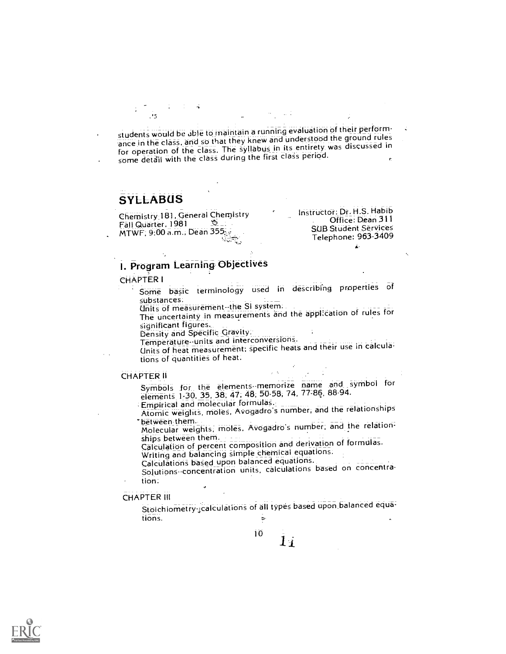students would be able to maintain a running evaluation of their performance in the class, and so that they knew and understood the ground rules for operation of the class. The syllabus in its entirety was discussed in some detail with the class during the first class period.

### **SYLLABUS**

Chernistry,181, General Chemistry  $MTWF$ ; 9:00 a.m., Dean 355.

Instructor: Dr. H.S. Habib Office: Dean 311 SUB Student Services Telephone: 963-3409

An Indian St

## I. Program Learning Objectives

#### CHAPTER I

- Some basic terminology used in describing properties of
	- substances:<br>Units of measurement--the SI system:

Units of measurement-the SI system. The uncertainty in measurements and the appl;eation of rules for

significant figures.<br>Density and Specific Gravity.<br>Temperature-units and interconversions.

Units of heat measurement; specific heats and their use in calcula: tions of quantities of heat.

#### CHAPTER II

Symbols for the elements memorize name and symbol for elements 1-30, 35, 38, 47; 48; 50.58, 74, 77 :86, 88-94.

Empirical and molecular formulaS.\_ Atomic weights, moles, Avogadro's number, and the relationships

`between them. Molecular weights, moleS. Avogadrd's number; and the relation:

ships between them. Calculation and derivation of formulas.

Writing and balancing simple chemical equations.

Calculations based upon balanced equations.

Solutions concentration units, calculations based on concentration:

#### CHAPTER Ill

Stoichiometry-,calculations of all types based upon balanced equations. She is a set of the set of  $\mathfrak{S}$ 

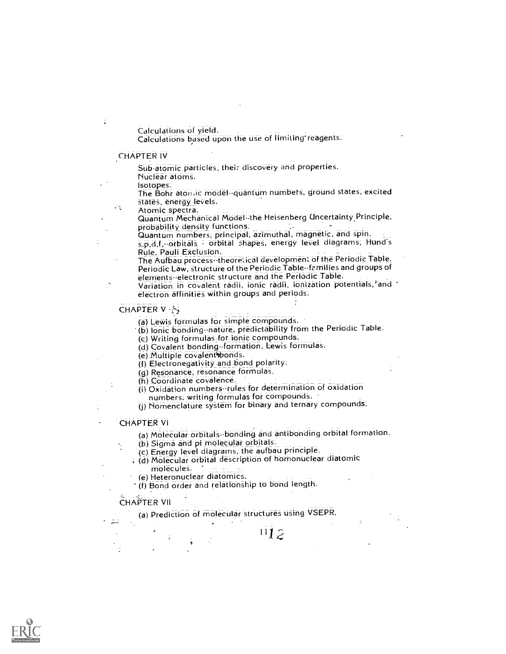Calculations of yield.<br>Calculations based upon the use of limiting reagents.

#### CHAPTER IV

28,

Sub.atomic particles, their discovery and properties.

Nuclear atoms.<br>Isotopes.

The Bohr atomic model--quantum numbers, ground states, excited states, energy levels.<br>Atomic spectra.

Quantum Mechanical Model--the Heisenberg Uncertainty Principle,<br>probability density functions.

Quantum numbers; principal; azimuthal, magnetic, and spin.

s,p,d,f, -orbitals - orbital shapes, energy level diagrams, Hund's<br>Rule, Pauli Exclusion.

The Aufbau process--theoretical development of the Periodic Table. Periodic Law, structure of the Periodic Table-families and groups of elements electronic structure and the Periodic Table.

Variation in covalent radii, ionic radii, ionization potentials, and electron affinities within groups and periods.

#### CHAPTER V· · 今

(a) Lewis formulas for simple compounds. (b) Ionic bonding--nature, predictability from the Periodic Table.

(c) Writing formulas-for ionic compounds.

(d) Covalent bonding--formation, Lewis formulas.<br>(e) Multiple covalent bonds.

(f) Electronegativity and bond polarity.

(g) Resonance, resonance formulas.<br>(h) Coordinate covalence.

(i) Oxidation numbers-rules for determination of oxidation

numbers, writing formulas for compounds.

(j) Nomenclature system for binary and ternary compounds.

#### CHAPTER VI

(a) Molecular orbitals-bonding and antibonding orbital formation.

 $112$ 

(b) Sigma and pi molecular orbitals.

(c) Energy level diagrams, the aufbau principle.

. (d) Molecular orbital description of homonuclear diatomic

molecules.<br>(e) Heteronuclear diatomics.

(f) Bond order and relationship to bond length.

#### CHAPTER VII

 $\mathcal{L}^{\text{max}}_{\text{max}}$ 

(a) Prediction of molecular structures using VSEPR.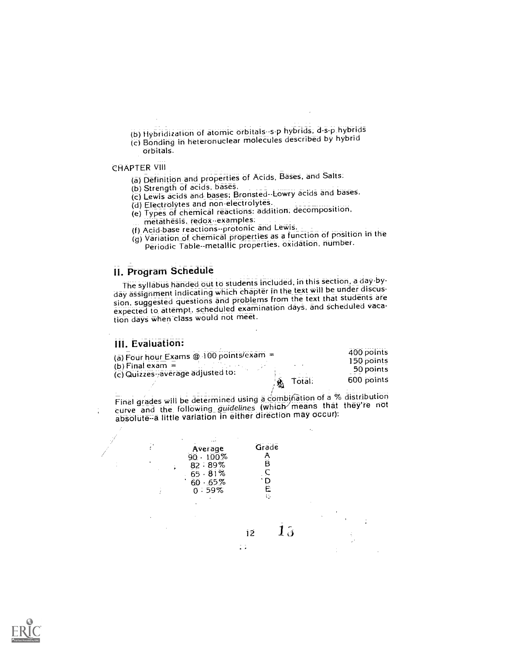(b) Hybridization of atomic orbitals-s-p hybrids; d-s-p hybrids

(c) Bonding in heterbriutlear molecules described by hybrid Orbitals.

#### **CHAPTER VIII**

(a) Definition and properties of Acids, Bases, and Salts.

(b) Strength of acids, bases.

(c) Lewis acids and bases; Bronsted-Lowry acids and bases.

(d) Electrolytes and non-electrolytes.

(e) Types of chemical reactions: addition; decomposition,

- metathesis, redox-examples:
- (f) Acid-base reactions--protonic and Lewis.
- (g) Variation of chemical properties as a function of position in the Periodic Table - metallic properties, oxidation, number.

#### II. Program Schedule

The syllabus handed out to students included, in this section, a day-byday assignment indicating which chapter in the text will be under discussion, suggested questions and problems from the text that students are expected to attempt, scheduled examination days, and scheduled vacation days when 'class would not meet.

#### III. Evaluation:

÷

|                                                          | Total.<br>-52) | 600 points   |  |
|----------------------------------------------------------|----------------|--------------|--|
| $(b)$ Final exam $=$<br>(c) Quizzes average adjusted to: |                | 50 points    |  |
| (a) Four hour Exams $@.100$ points/exam =                |                | 150 points   |  |
|                                                          |                | $400$ points |  |

Final grades will be determined using a combination of a % distribution curve and the following guidelines (which means that they're not absolute-a little variation in either direction may occur):



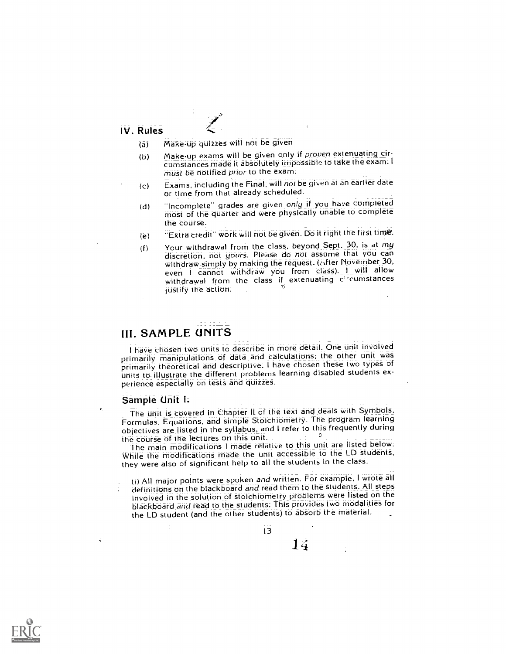#### IV. Rules

- (a) Make-up quizzes will not be given
- (b) Make-up exams will be given only if proven extenuating circumstances made it absolutely impossible to take the exam. I must be notified prior to the exam.
- (c) Ekams, including the Final, will not be given at an earlier date or time from that already scheduled.
- (d) "Incomplete" grades are given only if you have completed most of the quarter and were physically unable to complete the course.
- (e)  $\qquad$  "Extra credit" work will not be given. Do it right the first time.
- (1) Your withdrawal frorn the class, beyond Sept. 30, is at my discretion, not yours. Please do not assume that you can withdraw simply by making the request. (Miter November 30, even <sup>I</sup> cannot withdraw you from class). <sup>I</sup> will allow withdrawal from the class if extenuating c cumstances justify the action.

### III. SAMPLE UNITS

I have chosen two units to describe in more detail. One unit involved primarily manipulations of data and calculations; the other unit was primarily theoretical and descriptive. I have chosen these two types of units to- illustrate the different problems learning disabled students experience especially on tests and quizzeS.

#### Sample Unit L

The unit is covered in Chapter II of the text and deals with Symbols, Formulas. Equations; and simple Stoichiometry. The program learning objectives are listed in the syllabus, and I refer to this frequently during the course of the lectures on this unit.

The main modifications I made relative to this unit are listed below. While the modifications made the unit accessible to the LD students, they Were also of significant help to all the students in the clasS.

(i) All major points were spoken and written; For example, I wrote all definitions on the blackboard and read them to the students. All steps involved in the solution of stoichiometry problems were listed on the blackboard and read to the students: This provides two modalities for the LD student (and the other students) to absorb the material.

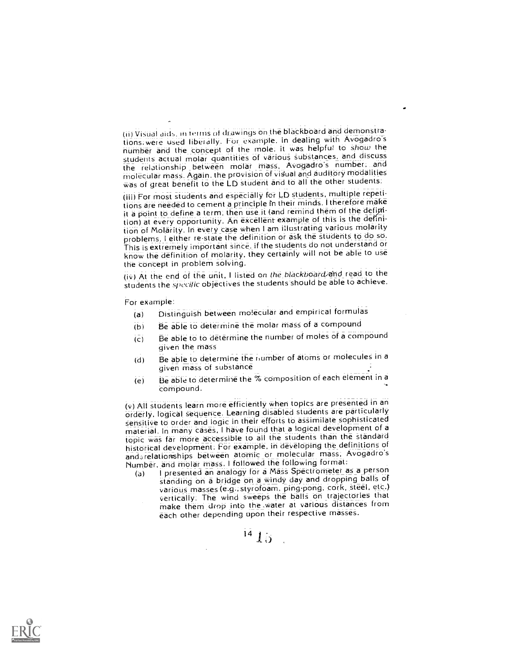(ii) Visual aids, in terms of drawings on the blackboard and demonstrations; were used liberally. For example, in dealing with Avogadro's number and the concept of the mole: it was helpfui! to show the students actual molar quantities of various substances, and discuss the relationship between molar mass, Avogadro's number; and molecular mass. Again, the provision of visual and auditory modalities Was of great benefit to the LD student and to all the other students:

(iii) For most students and especially for LD students, multiple repetitions are needed to cement a principle in their minds. I therefore make it a point to define a term, then use it (and remind them of the definition) at every opportunity. An excellent example of this is the definition of Molarity. In every case when I am illustrating various molarity problems, I either re-state the definition or ask the students to do so. This is extremely important since. if the students do not understand or know the definition of molarity, they certainly will not be able to use the concept in problem solving.

(iv) At the end of the unit, I listed on the blackboard and read to the students the specific objectives the students should be able to achieve.

For example:

- (a) Distinguish between molecular and empirical formulas
- (b) Be able to determine the molar mass of a compound
- (c) Be able to to determine the number of moles of a compound given the mass
- (d) Be able to determine the number of atoms or molecules in a given mass of substance
- (e) Be able to determine the % composition of each element in a compound.

(v) All students learn more efficiently when topics are presented in an orderly, logical sequence. Learning disabled students are particularly sensitive to order and logic in their efforts to assimilate sophisticated material. In many cases, I have found that a logical development of a topic was far more accessible to all the students than the standard historical development. For example, in developing the definitions of and.relationships between atomic or molecular mass; Avogadro's Number, and molar mass. I followed the following format:

(a) I presented an analogy for a Mass Spectrometer as a person standing on a bridge on a windy day and dropping balls of various masses (e.g.; styroloam, ping-pong, cork, steel, etc.) vertically: The wind sweeps the balls on trajectories that make them drop into the .water at various distances from each other depending upon their respective masses.

 $^{14}$   $15$   $\,$  .

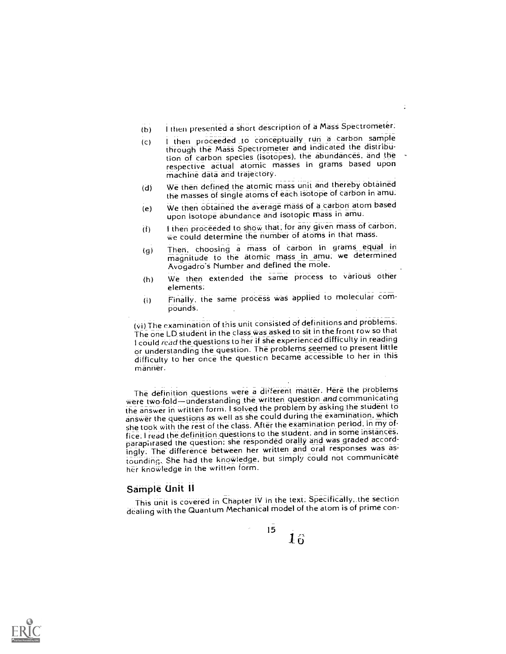- (b) I then presented a short description of a Mass Spectrometer.
- (c) <sup>I</sup> then proceeded to conceptually\_ run a carbon sample through the Mass Spectrometer and indicated the distribution of carbon species (isotopes), the abundances, and the respective actual atomic masses in grams based upon machine data and trajectory.
- (d) We then defined the atomic mass unit and thereby obtained the masses of single atoms of each isotope of carbon in arnu.
- (e) We then obtained the average mass of a carbon atom based upon isotope abundance and isotopic mass in amu.
- I then proceeded to show that, for any given mass of carbon, We could determine the number of atoms in that mass.  $(f)$
- (9) Then, choosing a mass of carbon in grams equal in magnitude to the atomic mass in amu, we determined Avogadro's Number and defined the mole.
- (h) We then extended the same process to various Other elements:
- (i) Finally, the same process was applied to molecular compounds.

(vi) The examination of this unit consisted of definitions and problems: The one LD student in the class was asked to sit in thefront row so that I could read the questions to her if she experienced difficulty in reading or understanding the question. The problems seemed to present little difficulty to her once the question became accessible to her in this manner.

The definition questions were a different matter. Here the problems were two fold-understanding the written question and communicating the answer in written form. I solved the problem by asking the student to answer the questions as well as she could during the examination, which she took with the rest of the class. After the examination period, in my of fice: I read the definition questions to the student, and in some instances. paraphrased the question: she responded orally and was graded accordingly, The difference between her written and oral responses was astounding. She had the knowledge, but simply could not communicate her krioWledge in the written form.

#### Sample Unit II

This unit is covered in Chapter IV in the text. Specifically, the section dealing with the Quantum Mechanical model of the atom is of prime con-

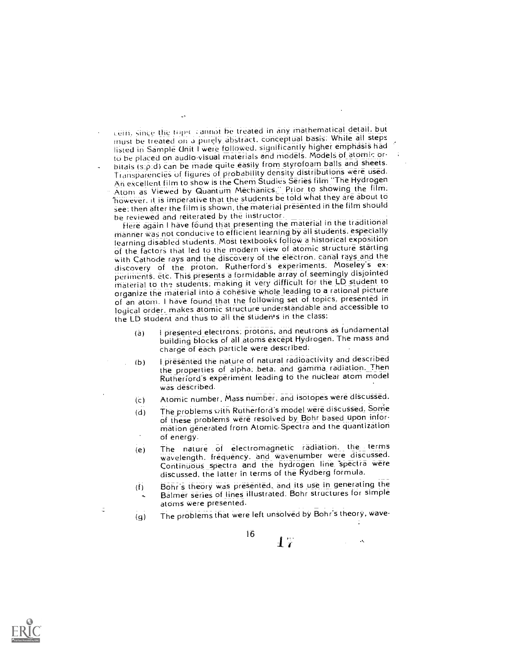cern, since the topic cannot be treated in any mathematical detail, but must be treated on a purely abstract, conceptual basis. While all steps listed in Sample Unit I were followed, significantly higher emphasis had to be placed on audio-visual materials and models. Models of atomic orbitals (s.p.d) can be made quite easily from styrofoam balls and sheets.

Transparencies of figures of probability density distributions were used An excellent film to show is the Chem Studies Series film "The Hydrogen Atom as Viewed by Quantum Mechanics." Prior to showing the film, `however, it is imperative that the students be told what they are about to see: then after the film is shown, the material presented in the film should be reviewed and reiterated by the instructor.

Here again I have found that presenting the material in the traditional manner was not conducive to efficient learning by all students, especially learning disabled students. Most textbooks follow a historical exposition of the factors that led to the modern view of atomic structure starting with Cathode rays and the discovery of the electron, canal rays and the discovery of the proton. Rutherford's experiments, Moseley's experiments, etc. This presents a formidable array of seemingly disjointed material to the students, making it very difficult for the LD student to organize the material into a cohesive whole-leading to a rational picture of an atom. I haVe found that the following set of topics, presented in logical order, makes atomic structure understandable and accessible to the LD student and thus to all the students in the class.

- (a) I presented electrons; protons, and neutrons as fundamental building blocks of all atoms except Hydrogen. The mass and charge of each particle were described:
- (b) I presented the nature of natural radioactivity and described the properties of alpha, beta, and gamma\_ radiation. Then Rutherford's experiment leading to the nuclear atom model was described.
- (c) Atomic number, Mass number, and isotopes were discussed.
- (d) The problems with Rutherford's model were discussed. Some of these problems were resolved by Bohr based upon infor rnation generated from Atomic-Spectra and the quantization of energy.
- (e) The nature of electromagnetic radiation, the terms wavelength, frequency, and wavenumber were discussed. Continuous spectra and the hydrogen line spectra were discussed, the latter in terms of the Rydberg formula.
- (f) Bohr's theory was presented, and its use in generating the Balmer series of lines illustrated. Bohr structures for simple atoms were presented.
- (g) The problems that were left unsolved by Bohr's theory, wave-



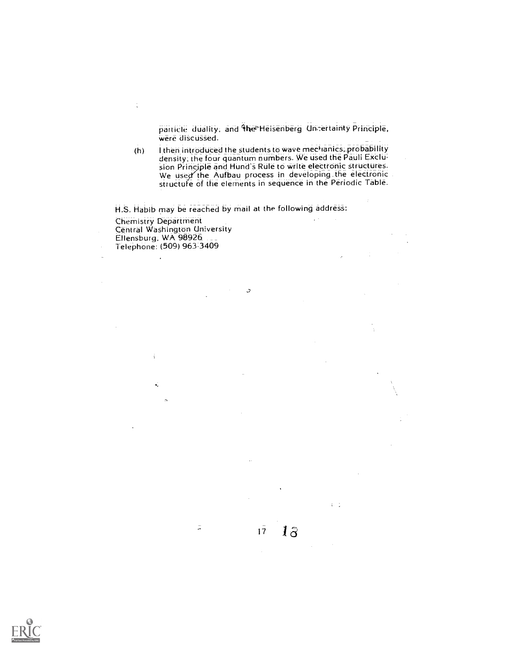particle duality, and the Heisenberg Uncertainty Principle, were discussed.

(h) I then introduced the students to wave mechanics, probability density; the four quantum numbers. We used the Pauli Exclusion Principle and Hund's Rule to write electronic structures. We used the Aufbau process in developing the electronic structufe of the elements in sequence in the Periodic Table.

17

 $1\overline{3}$ 

 $\mathcal{C} \subset \mathcal{I}$ 

H.S. Habib may be reached by mail at the following address:  $\mathbb{Z}^{d-1}$ Chemistry Department Central Washington University Ellensburg. WA 9892 Telephone: (509) 963-3409

 $\ddot{\mathcal{L}}$ 

÷

÷

 $\ddot{\bullet}$ 

Ä

 $\tilde{\omega}$ 

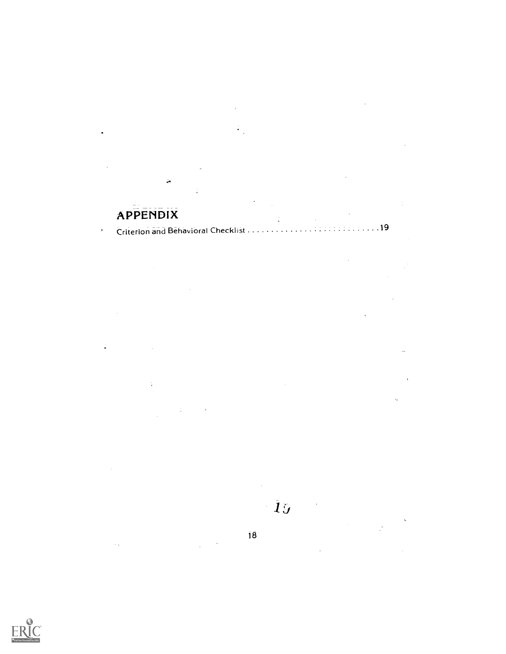# APPENDIX

 $\sim$ 

Ļ.

 $\frac{1}{2}$ 

Criterion and Behavioral Checklist <sup>19</sup>  $\varphi$ 

 $\frac{1}{2}$ 

 $\frac{1}{2}$ 

 $\hat{\mathcal{L}}$ 

 $\mathcal{A}$  $\vec{\mathbf{v}}$  $\mathcal{A}$ 

 $\ddot{\phantom{a}}$  $\hat{\mathcal{L}}_1$  $\frac{1}{\sqrt{2}}$ 

> $\mathcal{L}^{\mathcal{L}}$  $\mathbf{19}$

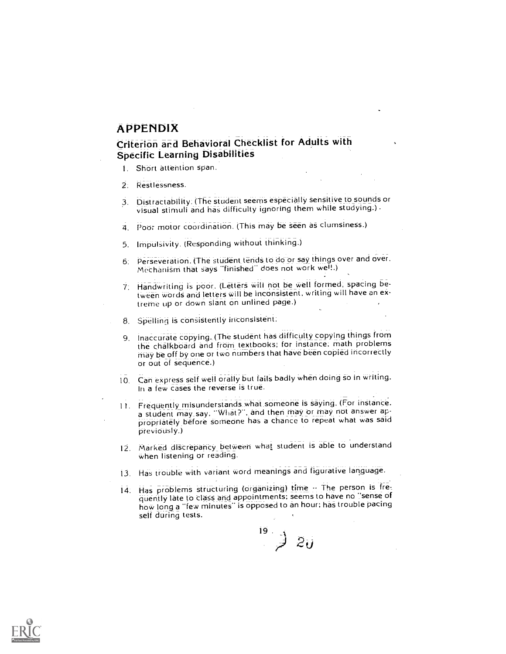### APPENDIX

## Criterion and Behavioral Checklist for Adults with Specific Learning Disabilities

- 1. Short attention span.
- 2: Restlessness.
- 3. Distractability. (The student seems especially sensitive to sounds or visual stimuli and has difficulty ignoring them while studying.) .
- 4. Poor motor coordination. (This may be seen as clumsiness.)
- 5. Impulsivity. (Responding without thinking:)
- 6: Perseveration. (The student tends to do or say things over and over. Mechanism that says "finished" does not work well.)
- 7. Handwriting is poor. (Letters will not be well formed, spacing between words and letters will be inconsistent, writing will have an extreme up or down slant on unlined page.)
- 8. Spelling is consistently inconsistent:
- 9. Inaccurate copying. (The student has difficulty copying things from the chalkboard and from textbooks; for instance, math problems may be off by one or two numbers that have been copied incorrectly or out of sequence.)
- 10. Can express self well orally but fails badly when doing so in writing. In a few cases the reverse is true.
- 11. Frequently misunderstands what someone is saying. (For instance. a student may say, "What ?", and then may or may not answer appropriately before someone has a chance to repeat what was said previously.)
- 12. Marked discrepancy between what student is able to understand when listening or reading.
- 13. Has trouble with variant word meanings and figurative language.
- 14. Has problems structuring (organizing) time -- The person is frequently late to class and appointments; seems to have no "sense of how long a "few minutes" is opposed to an hour; has trouble pacing self during tests.

 $2\mu$ 

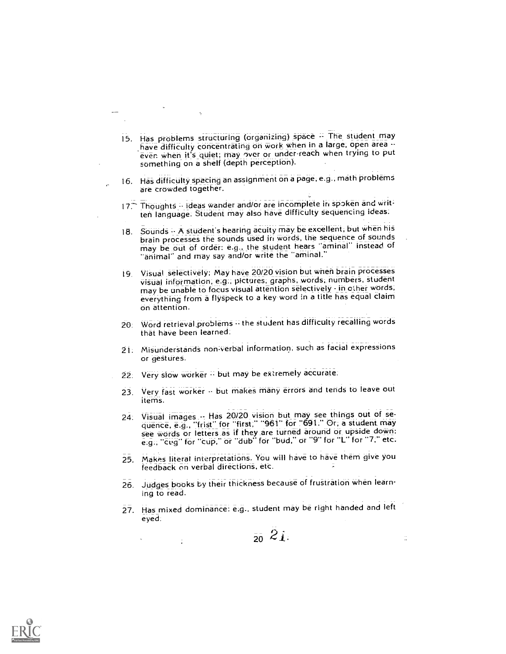- 15. Has problems structuring (organizing) space -- The student may have difficulty concentrating on work when in a large, open area -even when it's quiet; may over or under-reach when trying to put something on a shelf (depth perception).
- 16. HaS difficulty spacing an assignment on a page, e.g.. math problems are crowded together.

 $\epsilon$ 

- 17. Thoughts -- ideas wander and/or are incomplete in spoken and written language. Student may also have difficulty sequencing ideas.
- 18. Sounds -- A student's hearing acuity may be excellent, but when his brain processes the sounds used in words, the sequence of sounds may be out of order: e.g., the student hears "aminal" instead of "animal" and may say and/or write the "arninal."
- 19. Visual selectively; May have 20/20 vision but wneri brain processes visual information, e.g., pictures; graphs; words, numbers, student may be unable to focus visual attention selectively - in other words, everything from a flyspeck to a key word in a title has equal claim on attention.
- 20. Word retrieval problems  $\oplus$  the student has difficulty recalling words that have been learned.
- 21. Misunderstands non:verbal information, such as facial expressions or gestures.
- 22. Very slow worker " but may be extremely accurate.
- 23. Very fast worker -- but makes many errors and tends to leave out items.
- 24. Visual images -- Has 20/20 vision but may see things out of sequence, e.g., "frist" for "first," "961" for "691." Or; a student may see words or letters as if they are turned around or upside down: e.g., "cug" for "cup," or "dub" for "bud," or "9" for "L" for "7." etc.
- 25. Makes literal interpretations. You will have to have them give you feedback on verbal directions, etc.
- 26. Judges books by their thickness because of fruStration when learning to read.
- 27. Has mixed dominance: e.g., student may be right handed and left eyed.

 $20\ 21.$ 

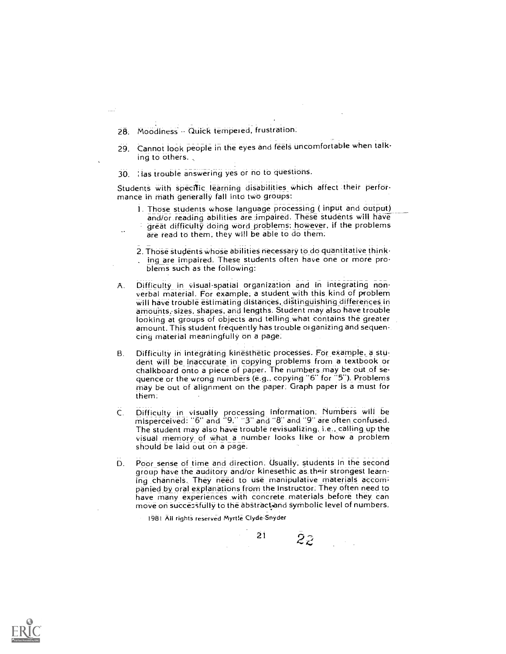- 28. Moodiness Quick tempered, frustration.
- 29. Cannot look people in the eyes and feels uncomfortable when talking to others.
- 30. ; las trouble answering yes or no to questions.

Students with spedfic learning disabilities which affect their performance in math generally fall into two groups:

- 1. Those students whose language processing ( input and output) and/or reading abilities are impaired. These students will have great difficulty doing word problems; however, if the problems are read to them, they will be able to do them.
- 2. Those students whose abilities necessary to do quantitative think-
- ing are impaired. These students often have one or more problems such as the following:
- A. Difficulty in visual-spatial organization and in integrating non- verbal material. For example; a student ,with this kind of problem will have trouble estimating distances, distinguishing differences in amounts, sizes, shapes, and lengths. Student may also have trouble<br>looking at groups of objects and telling what contains the greater amount. This student frequently has trouble oi ganizing and sequencing material meaningfully on a page.
- B. Difficulty in integrating kinesthetic processes. For example, a student will be inaccurate in copying problems from a textbook or chalkboard onto a piece of paper. The numbers may be out of sequence or the wrong numbers (e.g., copying "6" for "5"). Problems may be out of alignment on the paper. Graph paper is a must for them.
- Difficulty in visually processing information: Numbers will be misperceived: "6" and "9;" "3" and "8" and "9" are often confused.  $C_{\cdot}$ The student may also have trouble revisualizing. i.e., calling up the visual memory of what a number looks like or how a problem should be laid out on a page.
- D. Poor sense of time and direction. Usually, students in the second group have the auditory and/or kinesethic as their strongest learning channels. They need to use manipulative materials accompanied by oral explanations from the instructor. They often need to have many experiences with concrete materials before they can move on successfully to the abstract, and symbolic level of numbers.

21

1981 All rights reserved Myrt1e Clyde-Snyder

22.